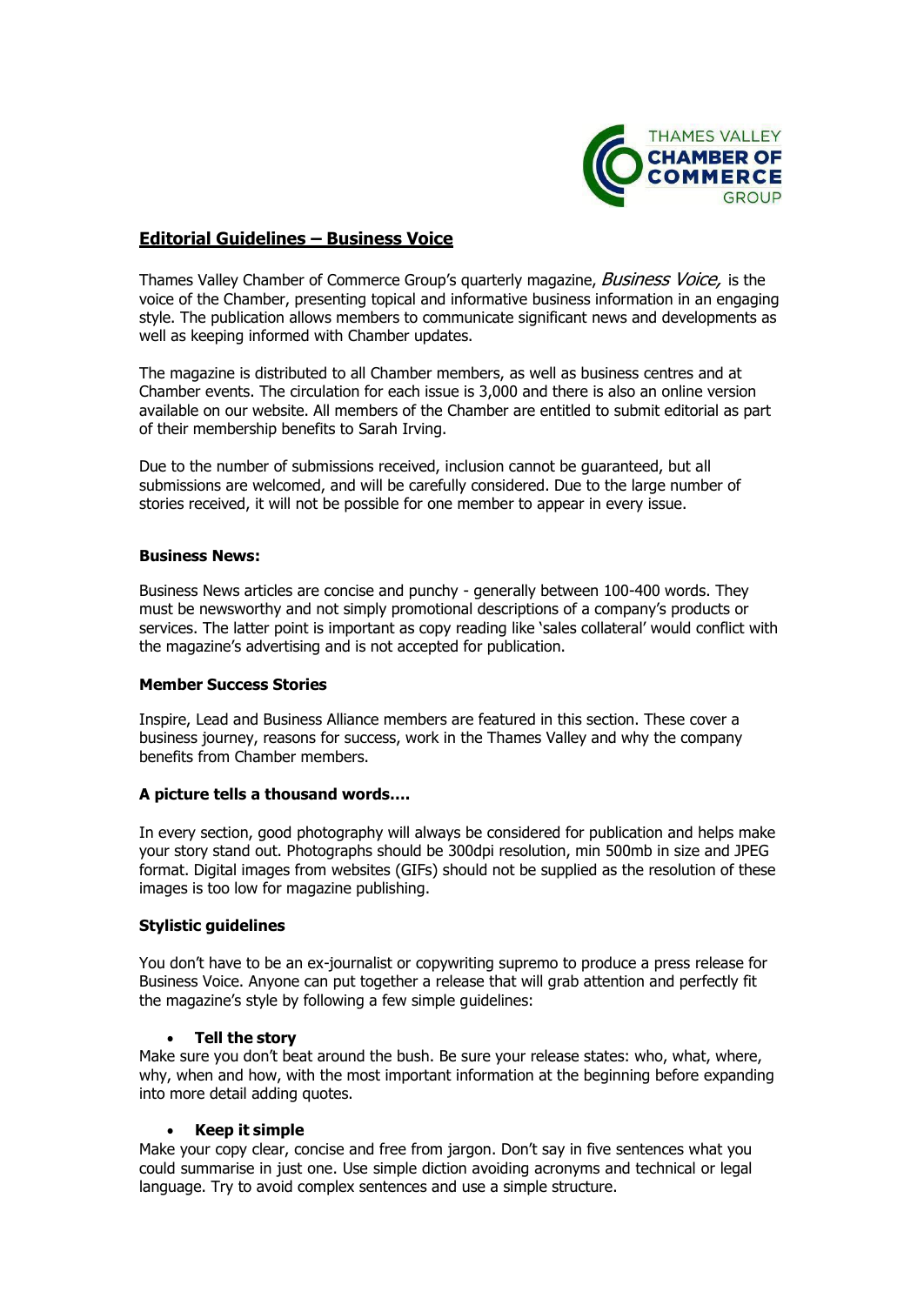

# **Editorial Guidelines – Business Voice**

Thames Valley Chamber of Commerce Group's quarterly magazine, Business Voice, is the voice of the Chamber, presenting topical and informative business information in an engaging style. The publication allows members to communicate significant news and developments as well as keeping informed with Chamber updates.

The magazine is distributed to all Chamber members, as well as business centres and at Chamber events. The circulation for each issue is 3,000 and there is also an online version available on our website. All members of the Chamber are entitled to submit editorial as part of their membership benefits to Sarah Irving.

Due to the number of submissions received, inclusion cannot be guaranteed, but all submissions are welcomed, and will be carefully considered. Due to the large number of stories received, it will not be possible for one member to appear in every issue.

#### **Business News:**

Business News articles are concise and punchy - generally between 100-400 words. They must be newsworthy and not simply promotional descriptions of a company's products or services. The latter point is important as copy reading like 'sales collateral' would conflict with the magazine's advertising and is not accepted for publication.

### **Member Success Stories**

Inspire, Lead and Business Alliance members are featured in this section. These cover a business journey, reasons for success, work in the Thames Valley and why the company benefits from Chamber members.

# **A picture tells a thousand words….**

In every section, good photography will always be considered for publication and helps make your story stand out. Photographs should be 300dpi resolution, min 500mb in size and JPEG format. Digital images from websites (GIFs) should not be supplied as the resolution of these images is too low for magazine publishing.

# **Stylistic guidelines**

You don't have to be an ex-journalist or copywriting supremo to produce a press release for Business Voice. Anyone can put together a release that will grab attention and perfectly fit the magazine's style by following a few simple guidelines:

#### • **Tell the story**

Make sure you don't beat around the bush. Be sure your release states: who, what, where, why, when and how, with the most important information at the beginning before expanding into more detail adding quotes.

#### • **Keep it simple**

Make your copy clear, concise and free from jargon. Don't say in five sentences what you could summarise in just one. Use simple diction avoiding acronyms and technical or legal language. Try to avoid complex sentences and use a simple structure.